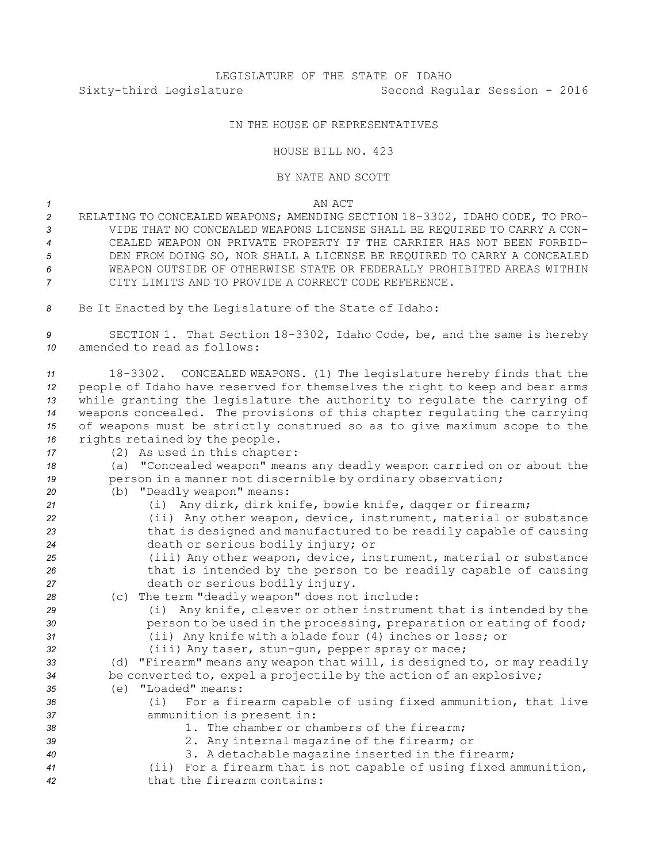## LEGISLATURE OF THE STATE OF IDAHO Sixty-third Legislature Second Regular Session - 2016

## IN THE HOUSE OF REPRESENTATIVES

## HOUSE BILL NO. 423

## BY NATE AND SCOTT

*1* AN ACT

- *<sup>2</sup>* RELATING TO CONCEALED WEAPONS; AMENDING SECTION 18-3302, IDAHO CODE, TO PRO-*3* VIDE THAT NO CONCEALED WEAPONS LICENSE SHALL BE REQUIRED TO CARRY A CON-*4* CEALED WEAPON ON PRIVATE PROPERTY IF THE CARRIER HAS NOT BEEN FORBID-*5* DEN FROM DOING SO, NOR SHALL A LICENSE BE REQUIRED TO CARRY A CONCEALED *6* WEAPON OUTSIDE OF OTHERWISE STATE OR FEDERALLY PROHIBITED AREAS WITHIN *7* CITY LIMITS AND TO PROVIDE A CORRECT CODE REFERENCE.
- *<sup>8</sup>* Be It Enacted by the Legislature of the State of Idaho:

*<sup>9</sup>* SECTION 1. That Section 18-3302, Idaho Code, be, and the same is hereby *10* amended to read as follows:

- *<sup>11</sup>* 18-3302. CONCEALED WEAPONS. (1) The legislature hereby finds that the *<sup>12</sup>* people of Idaho have reserved for themselves the right to keep and bear arms *<sup>13</sup>* while granting the legislature the authority to regulate the carrying of *<sup>14</sup>* weapons concealed. The provisions of this chapter regulating the carrying *<sup>15</sup>* of weapons must be strictly construed so as to give maximum scope to the *<sup>16</sup>* rights retained by the people.
- *<sup>17</sup>* (2) As used in this chapter:
- *<sup>18</sup>* (a) "Concealed weapon" means any deadly weapon carried on or about the 19 **person in a manner not discernible by ordinary observation;**
- *<sup>20</sup>* (b) "Deadly weapon" means:
- *<sup>21</sup>* (i) Any dirk, dirk knife, bowie knife, dagger or firearm; *<sup>22</sup>* (ii) Any other weapon, device, instrument, material or substance *<sup>23</sup>* that is designed and manufactured to be readily capable of causing *<sup>24</sup>* death or serious bodily injury; or *<sup>25</sup>* (iii) Any other weapon, device, instrument, material or substance *<sup>26</sup>* that is intended by the person to be readily capable of causing *<sup>27</sup>* death or serious bodily injury. *<sup>28</sup>* (c) The term "deadly weapon" does not include: *<sup>29</sup>* (i) Any knife, cleaver or other instrument that is intended by the 30 **person to be used in the processing, preparation or eating of food;** *<sup>31</sup>* (ii) Any knife with <sup>a</sup> blade four (4) inches or less; or *<sup>32</sup>* (iii) Any taser, stun-gun, pepper spray or mace; *<sup>33</sup>* (d) "Firearm" means any weapon that will, is designed to, or may readily *<sup>34</sup>* be converted to, expel <sup>a</sup> projectile by the action of an explosive; *35* (e) "Loaded" means: *<sup>36</sup>* (i) For <sup>a</sup> firearm capable of using fixed ammunition, that live *<sup>37</sup>* ammunition is present in: *38* 1. The chamber or chambers of the firearm; *<sup>39</sup>* 2. Any internal magazine of the firearm; or *<sup>40</sup>* 3. <sup>A</sup> detachable magazine inserted in the firearm; *<sup>41</sup>* (ii) For <sup>a</sup> firearm that is not capable of using fixed ammunition, *42* that the firearm contains: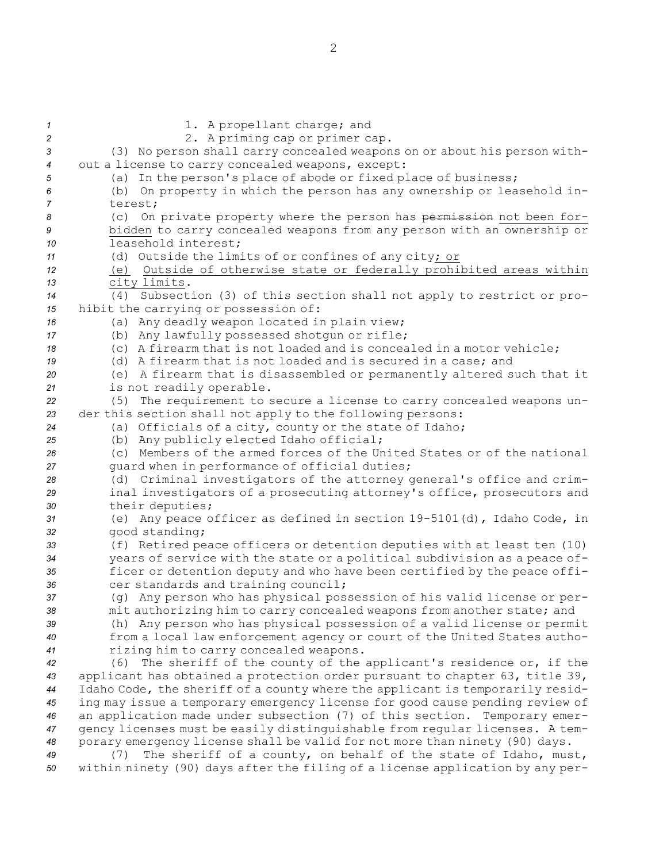1. A propellant charge; and 2 2. A priming cap or primer cap. (3) No person shall carry concealed weapons on or about his person with- out <sup>a</sup> license to carry concealed weapons, except: (a) In the person's place of abode or fixed place of business; (b) On property in which the person has any ownership or leasehold in-*7* terest; (c) On private property where the person has permission not been for- bidden to carry concealed weapons from any person with an ownership or leasehold interest; (d) Outside the limits of or confines of any city; or (e) Outside of otherwise state or federally prohibited areas within city limits. (4) Subsection (3) of this section shall not apply to restrict or pro- hibit the carrying or possession of: (a) Any deadly weapon located in plain view; (b) Any lawfully possessed shotgun or rifle; (c) A firearm that is not loaded and is concealed in <sup>a</sup> motor vehicle; (d) A firearm that is not loaded and is secured in <sup>a</sup> case; and (e) <sup>A</sup> firearm that is disassembled or permanently altered such that it is not readily operable. (5) The requirement to secure <sup>a</sup> license to carry concealed weapons un- der this section shall not apply to the following persons: (a) Officials of <sup>a</sup> city, county or the state of Idaho; (b) Any publicly elected Idaho official; (c) Members of the armed forces of the United States or of the national guard when in performance of official duties; (d) Criminal investigators of the attorney general's office and crim- inal investigators of <sup>a</sup> prosecuting attorney's office, prosecutors and their deputies; (e) Any peace officer as defined in section 19-5101(d), Idaho Code, in good standing; (f) Retired peace officers or detention deputies with at least ten (10) years of service with the state or <sup>a</sup> political subdivision as <sup>a</sup> peace of- ficer or detention deputy and who have been certified by the peace offi- cer standards and training council; (g) Any person who has physical possession of his valid license or per- mit authorizing him to carry concealed weapons from another state; and (h) Any person who has physical possession of <sup>a</sup> valid license or permit from <sup>a</sup> local law enforcement agency or court of the United States autho- rizing him to carry concealed weapons. (6) The sheriff of the county of the applicant's residence or, if the applicant has obtained <sup>a</sup> protection order pursuant to chapter 63, title 39, Idaho Code, the sheriff of <sup>a</sup> county where the applicant is temporarily resid- ing may issue <sup>a</sup> temporary emergency license for good cause pending review of an application made under subsection (7) of this section. Temporary emer- gency licenses must be easily distinguishable from regular licenses. <sup>A</sup> tem- porary emergency license shall be valid for not more than ninety (90) days. (7) The sheriff of <sup>a</sup> county, on behalf of the state of Idaho, must, within ninety (90) days after the filing of <sup>a</sup> license application by any per-

2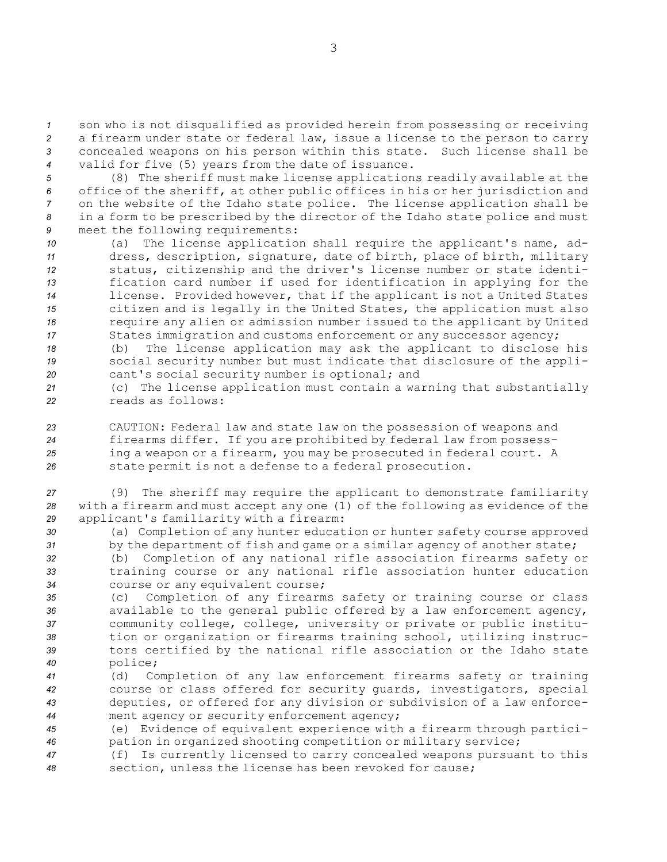son who is not disqualified as provided herein from possessing or receiving <sup>a</sup> firearm under state or federal law, issue <sup>a</sup> license to the person to carry concealed weapons on his person within this state. Such license shall be valid for five (5) years from the date of issuance.

 (8) The sheriff must make license applications readily available at the office of the sheriff, at other public offices in his or her jurisdiction and on the website of the Idaho state police. The license application shall be in <sup>a</sup> form to be prescribed by the director of the Idaho state police and must meet the following requirements:

 (a) The license application shall require the applicant's name, ad- dress, description, signature, date of birth, place of birth, military status, citizenship and the driver's license number or state identi- fication card number if used for identification in applying for the license. Provided however, that if the applicant is not <sup>a</sup> United States citizen and is legally in the United States, the application must also require any alien or admission number issued to the applicant by United States immigration and customs enforcement or any successor agency;

*<sup>18</sup>* (b) The license application may ask the applicant to disclose his *<sup>19</sup>* social security number but must indicate that disclosure of the appli-*<sup>20</sup>* cant's social security number is optional; and

*<sup>21</sup>* (c) The license application must contain <sup>a</sup> warning that substantially *22* reads as follows:

 CAUTION: Federal law and state law on the possession of weapons and firearms differ. If you are prohibited by federal law from possess- ing <sup>a</sup> weapon or <sup>a</sup> firearm, you may be prosecuted in federal court. <sup>A</sup> state permit is not <sup>a</sup> defense to <sup>a</sup> federal prosecution.

*<sup>27</sup>* (9) The sheriff may require the applicant to demonstrate familiarity *<sup>28</sup>* with <sup>a</sup> firearm and must accept any one (1) of the following as evidence of the *<sup>29</sup>* applicant's familiarity with <sup>a</sup> firearm:

*<sup>30</sup>* (a) Completion of any hunter education or hunter safety course approved *<sup>31</sup>* by the department of fish and game or <sup>a</sup> similar agency of another state;

*<sup>32</sup>* (b) Completion of any national rifle association firearms safety or *<sup>33</sup>* training course or any national rifle association hunter education *<sup>34</sup>* course or any equivalent course;

 (c) Completion of any firearms safety or training course or class available to the general public offered by <sup>a</sup> law enforcement agency, community college, college, university or private or public institu- tion or organization or firearms training school, utilizing instruc- tors certified by the national rifle association or the Idaho state *<sup>40</sup>* police;

 (d) Completion of any law enforcement firearms safety or training course or class offered for security guards, investigators, special deputies, or offered for any division or subdivision of <sup>a</sup> law enforce-ment agency or security enforcement agency;

*<sup>45</sup>* (e) Evidence of equivalent experience with <sup>a</sup> firearm through partici-*<sup>46</sup>* pation in organized shooting competition or military service;

*<sup>47</sup>* (f) Is currently licensed to carry concealed weapons pursuant to this *<sup>48</sup>* section, unless the license has been revoked for cause;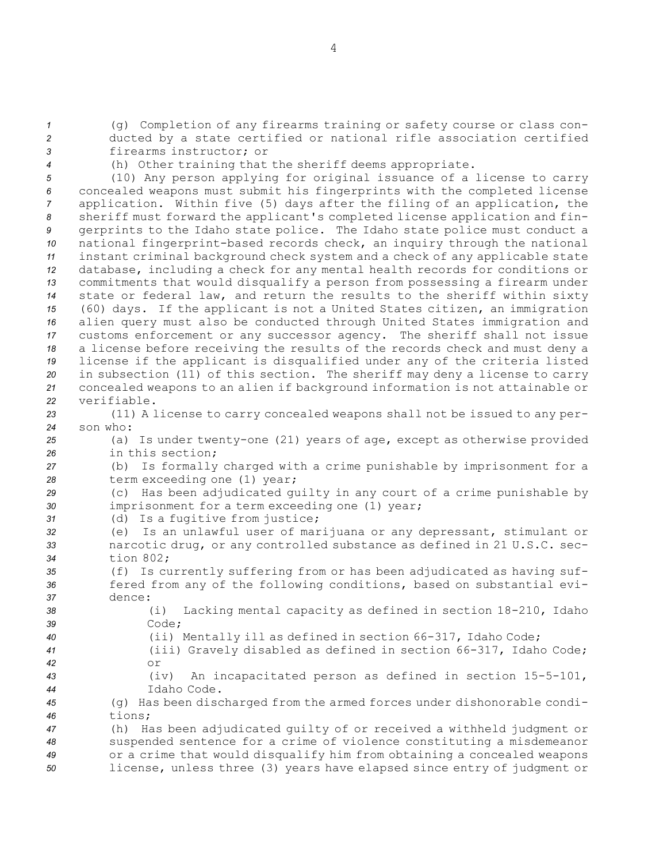*<sup>1</sup>* (g) Completion of any firearms training or safety course or class con-*<sup>2</sup>* ducted by <sup>a</sup> state certified or national rifle association certified *3* firearms instructor; or

*<sup>4</sup>* (h) Other training that the sheriff deems appropriate.

 (10) Any person applying for original issuance of <sup>a</sup> license to carry concealed weapons must submit his fingerprints with the completed license application. Within five (5) days after the filing of an application, the sheriff must forward the applicant's completed license application and fin- gerprints to the Idaho state police. The Idaho state police must conduct <sup>a</sup> national fingerprint-based records check, an inquiry through the national instant criminal background check system and <sup>a</sup> check of any applicable state database, including <sup>a</sup> check for any mental health records for conditions or commitments that would disqualify <sup>a</sup> person from possessing <sup>a</sup> firearm under state or federal law, and return the results to the sheriff within sixty (60) days. If the applicant is not <sup>a</sup> United States citizen, an immigration alien query must also be conducted through United States immigration and customs enforcement or any successor agency. The sheriff shall not issue <sup>a</sup> license before receiving the results of the records check and must deny <sup>a</sup> license if the applicant is disqualified under any of the criteria listed in subsection (11) of this section. The sheriff may deny <sup>a</sup> license to carry concealed weapons to an alien if background information is not attainable or verifiable.

*<sup>23</sup>* (11) <sup>A</sup> license to carry concealed weapons shall not be issued to any per-*24* son who:

*<sup>25</sup>* (a) Is under twenty-one (21) years of age, except as otherwise provided *26* in this section;

*<sup>27</sup>* (b) Is formally charged with <sup>a</sup> crime punishable by imprisonment for <sup>a</sup> 28 term exceeding one (1) year;

*<sup>29</sup>* (c) Has been adjudicated guilty in any court of <sup>a</sup> crime punishable by *<sup>30</sup>* imprisonment for <sup>a</sup> term exceeding one (1) year;

- *<sup>31</sup>* (d) Is <sup>a</sup> fugitive from justice;
- *<sup>32</sup>* (e) Is an unlawful user of marijuana or any depressant, stimulant or *<sup>33</sup>* narcotic drug, or any controlled substance as defined in 21 U.S.C. sec-*34* tion 802;

*<sup>35</sup>* (f) Is currently suffering from or has been adjudicated as having suf-36 **fered from any of the following conditions, based on substantial evi-***37* dence:

*<sup>38</sup>* (i) Lacking mental capacity as defined in section 18-210, Idaho *39* Code;

*<sup>40</sup>* (ii) Mentally ill as defined in section 66-317, Idaho Code;

- *<sup>41</sup>* (iii) Gravely disabled as defined in section 66-317, Idaho Code; *42* or
- *<sup>43</sup>* (iv) An incapacitated person as defined in section 15-5-101, *44* Idaho Code.

*<sup>45</sup>* (g) Has been discharged from the armed forces under dishonorable condi-*46* tions;

 (h) Has been adjudicated guilty of or received <sup>a</sup> withheld judgment or suspended sentence for <sup>a</sup> crime of violence constituting <sup>a</sup> misdemeanor or <sup>a</sup> crime that would disqualify him from obtaining <sup>a</sup> concealed weapons license, unless three (3) years have elapsed since entry of judgment or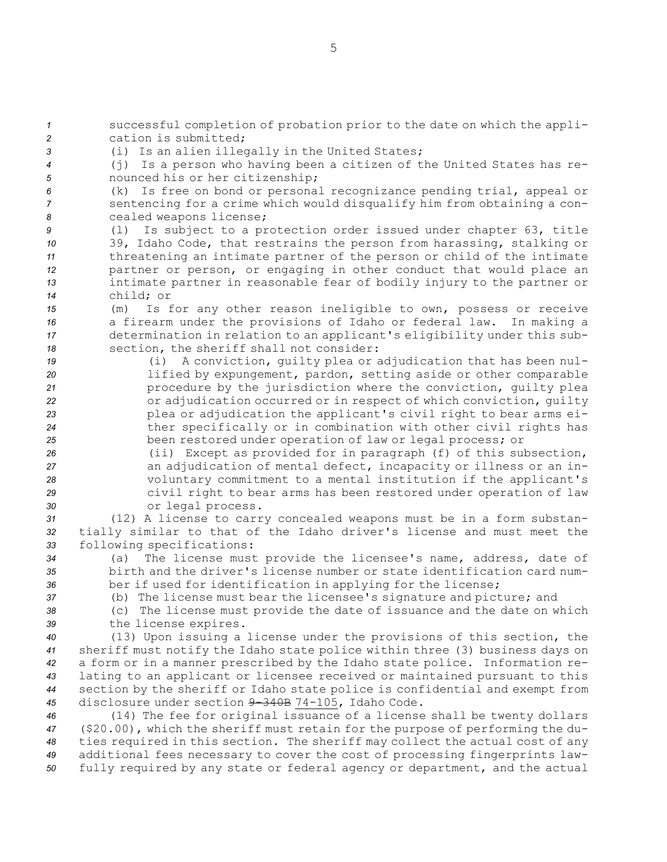successful completion of probation prior to the date on which the appli- cation is submitted; (i) Is an alien illegally in the United States; (j) Is <sup>a</sup> person who having been <sup>a</sup> citizen of the United States has re- nounced his or her citizenship; (k) Is free on bond or personal recognizance pending trial, appeal or sentencing for <sup>a</sup> crime which would disqualify him from obtaining <sup>a</sup> con- cealed weapons license; (l) Is subject to <sup>a</sup> protection order issued under chapter 63, title 39, Idaho Code, that restrains the person from harassing, stalking or threatening an intimate partner of the person or child of the intimate partner or person, or engaging in other conduct that would place an intimate partner in reasonable fear of bodily injury to the partner or child; or (m) Is for any other reason ineligible to own, possess or receive <sup>a</sup> firearm under the provisions of Idaho or federal law. In making <sup>a</sup> determination in relation to an applicant's eligibility under this sub- section, the sheriff shall not consider: (i) <sup>A</sup> conviction, guilty plea or adjudication that has been nul- lified by expungement, pardon, setting aside or other comparable procedure by the jurisdiction where the conviction, guilty plea or adjudication occurred or in respect of which conviction, guilty plea or adjudication the applicant's civil right to bear arms ei- ther specifically or in combination with other civil rights has been restored under operation of law or legal process; or (ii) Except as provided for in paragraph (f) of this subsection, an adjudication of mental defect, incapacity or illness or an in- voluntary commitment to <sup>a</sup> mental institution if the applicant's civil right to bear arms has been restored under operation of law or legal process. (12) <sup>A</sup> license to carry concealed weapons must be in <sup>a</sup> form substan- tially similar to that of the Idaho driver's license and must meet the following specifications: (a) The license must provide the licensee's name, address, date of birth and the driver's license number or state identification card num- ber if used for identification in applying for the license; (b) The license must bear the licensee's signature and picture; and (c) The license must provide the date of issuance and the date on which the license expires. (13) Upon issuing <sup>a</sup> license under the provisions of this section, the sheriff must notify the Idaho state police within three (3) business days on <sup>a</sup> form or in <sup>a</sup> manner prescribed by the Idaho state police. Information re- lating to an applicant or licensee received or maintained pursuant to this section by the sheriff or Idaho state police is confidential and exempt from disclosure under section 9-340B 74-105, Idaho Code. (14) The fee for original issuance of <sup>a</sup> license shall be twenty dollars (\$20.00), which the sheriff must retain for the purpose of performing the du-ties required in this section. The sheriff may collect the actual cost of any

*<sup>49</sup>* additional fees necessary to cover the cost of processing fingerprints law-*<sup>50</sup>* fully required by any state or federal agency or department, and the actual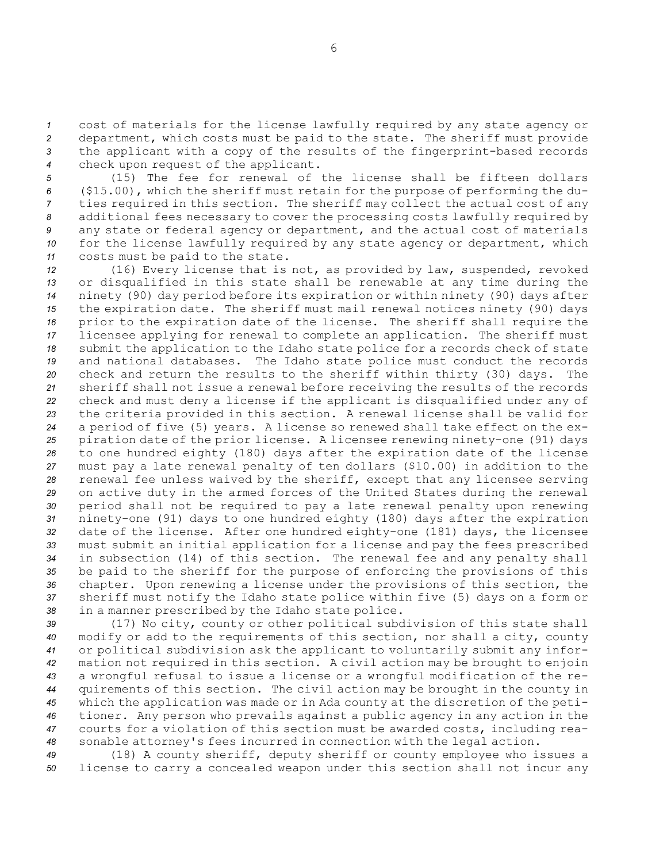cost of materials for the license lawfully required by any state agency or department, which costs must be paid to the state. The sheriff must provide the applicant with <sup>a</sup> copy of the results of the fingerprint-based records check upon request of the applicant.

 (15) The fee for renewal of the license shall be fifteen dollars (\$15.00), which the sheriff must retain for the purpose of performing the du- ties required in this section. The sheriff may collect the actual cost of any additional fees necessary to cover the processing costs lawfully required by any state or federal agency or department, and the actual cost of materials for the license lawfully required by any state agency or department, which costs must be paid to the state.

 (16) Every license that is not, as provided by law, suspended, revoked or disqualified in this state shall be renewable at any time during the ninety (90) day period before its expiration or within ninety (90) days after the expiration date. The sheriff must mail renewal notices ninety (90) days prior to the expiration date of the license. The sheriff shall require the licensee applying for renewal to complete an application. The sheriff must submit the application to the Idaho state police for <sup>a</sup> records check of state and national databases. The Idaho state police must conduct the records check and return the results to the sheriff within thirty (30) days. The sheriff shall not issue <sup>a</sup> renewal before receiving the results of the records check and must deny <sup>a</sup> license if the applicant is disqualified under any of the criteria provided in this section. <sup>A</sup> renewal license shall be valid for <sup>a</sup> period of five (5) years. <sup>A</sup> license so renewed shall take effect on the ex- piration date of the prior license. <sup>A</sup> licensee renewing ninety-one (91) days to one hundred eighty (180) days after the expiration date of the license must pay <sup>a</sup> late renewal penalty of ten dollars (\$10.00) in addition to the renewal fee unless waived by the sheriff, except that any licensee serving on active duty in the armed forces of the United States during the renewal period shall not be required to pay <sup>a</sup> late renewal penalty upon renewing ninety-one (91) days to one hundred eighty (180) days after the expiration date of the license. After one hundred eighty-one (181) days, the licensee must submit an initial application for <sup>a</sup> license and pay the fees prescribed in subsection (14) of this section. The renewal fee and any penalty shall be paid to the sheriff for the purpose of enforcing the provisions of this chapter. Upon renewing <sup>a</sup> license under the provisions of this section, the sheriff must notify the Idaho state police within five (5) days on <sup>a</sup> form or in <sup>a</sup> manner prescribed by the Idaho state police.

 (17) No city, county or other political subdivision of this state shall modify or add to the requirements of this section, nor shall <sup>a</sup> city, county or political subdivision ask the applicant to voluntarily submit any infor- mation not required in this section. <sup>A</sup> civil action may be brought to enjoin <sup>a</sup> wrongful refusal to issue <sup>a</sup> license or <sup>a</sup> wrongful modification of the re- quirements of this section. The civil action may be brought in the county in which the application was made or in Ada county at the discretion of the peti- tioner. Any person who prevails against <sup>a</sup> public agency in any action in the courts for <sup>a</sup> violation of this section must be awarded costs, including rea-sonable attorney's fees incurred in connection with the legal action.

*<sup>49</sup>* (18) <sup>A</sup> county sheriff, deputy sheriff or county employee who issues <sup>a</sup> *<sup>50</sup>* license to carry <sup>a</sup> concealed weapon under this section shall not incur any